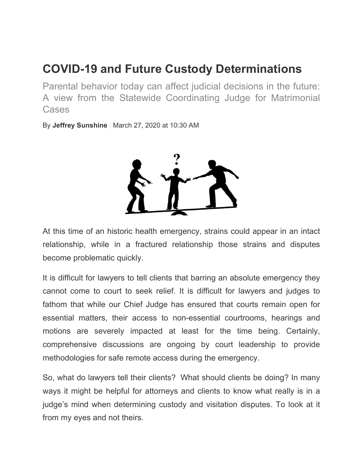## **COVID-19 and Future Custody Determinations**

Parental behavior today can affect judicial decisions in the future: A view from the Statewide Coordinating Judge for Matrimonial Cases

By **Jeffrey Sunshine** | March 27, 2020 at 10:30 AM



At this time of an historic health emergency, strains could appear in an intact relationship, while in a fractured relationship those strains and disputes become problematic quickly.

It is difficult for lawyers to tell clients that barring an absolute emergency they cannot come to court to seek relief. It is difficult for lawyers and judges to fathom that while our Chief Judge has ensured that courts remain open for essential matters, their access to non-essential courtrooms, hearings and motions are severely impacted at least for the time being. Certainly, comprehensive discussions are ongoing by court leadership to provide methodologies for safe remote access during the emergency.

So, what do lawyers tell their clients? What should clients be doing? In many ways it might be helpful for attorneys and clients to know what really is in a judge's mind when determining custody and visitation disputes. To look at it from my eyes and not theirs.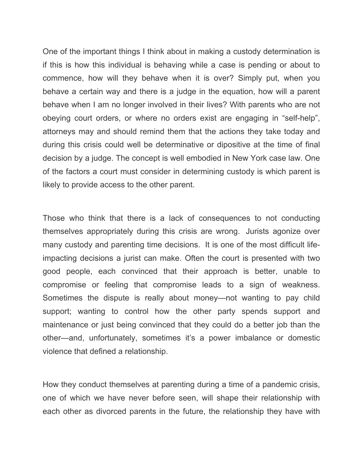One of the important things I think about in making a custody determination is if this is how this individual is behaving while a case is pending or about to commence, how will they behave when it is over? Simply put, when you behave a certain way and there is a judge in the equation, how will a parent behave when I am no longer involved in their lives? With parents who are not obeying court orders, or where no orders exist are engaging in "self-help", attorneys may and should remind them that the actions they take today and during this crisis could well be determinative or dipositive at the time of final decision by a judge. The concept is well embodied in New York case law. One of the factors a court must consider in determining custody is which parent is likely to provide access to the other parent.

Those who think that there is a lack of consequences to not conducting themselves appropriately during this crisis are wrong. Jurists agonize over many custody and parenting time decisions. It is one of the most difficult lifeimpacting decisions a jurist can make. Often the court is presented with two good people, each convinced that their approach is better, unable to compromise or feeling that compromise leads to a sign of weakness. Sometimes the dispute is really about money—not wanting to pay child support; wanting to control how the other party spends support and maintenance or just being convinced that they could do a better job than the other—and, unfortunately, sometimes it's a power imbalance or domestic violence that defined a relationship.

How they conduct themselves at parenting during a time of a pandemic crisis, one of which we have never before seen, will shape their relationship with each other as divorced parents in the future, the relationship they have with